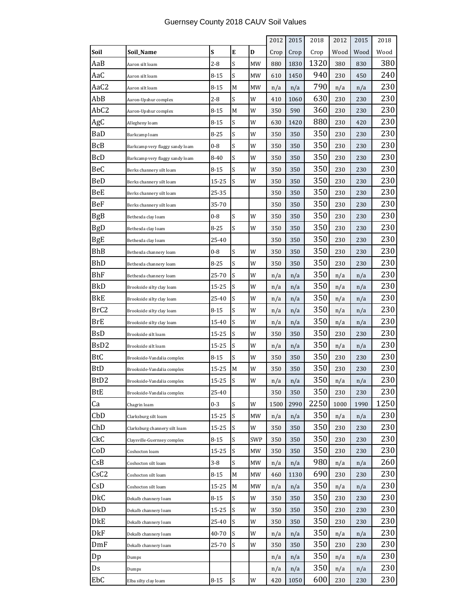|                  |                                 |          |   |     | 2012 | 2015 | 2018 | 2012 | 2015 | 2018 |
|------------------|---------------------------------|----------|---|-----|------|------|------|------|------|------|
| Soil             | Soil Name                       | S        | E | D   | Crop | Crop | Crop | Wood | Wood | Wood |
| AaB              | Aaron silt loam                 | $2-8$    | S | MW  | 880  | 1830 | 1320 | 380  | 830  | 380  |
| AaC              | Aaron silt loam                 | 8-15     | S | МW  | 610  | 1450 | 940  | 230  | 450  | 240  |
| AaC2             | Aaron silt loam                 | $8 - 15$ | M | MW  | n/a  | n/a  | 790  | n/a  | n/a  | 230  |
| AbB              | Aaron-Upshur complex            | 2-8      | S | W   | 410  | 1060 | 630  | 230  | 230  | 230  |
| AbC2             | Aaron-Upshur complex            | 8-15     | M | W   | 350  | 590  | 360  | 230  | 230  | 230  |
| AgC              | Allegheny loam                  | 8-15     | S | W   | 630  | 1420 | 880  | 230  | 420  | 230  |
| BaD              | Barkcamp loam                   | $8 - 25$ | S | W   | 350  | 350  | 350  | 230  | 230  | 230  |
| <b>BcB</b>       | Barkcamp very flaggy sandy loam | 0-8      | S | W   | 350  | 350  | 350  | 230  | 230  | 230  |
| <b>BcD</b>       | Barkcamp very flaggy sandy loam | 8-40     | S | W   | 350  | 350  | 350  | 230  | 230  | 230  |
| BeC              | Berks channery silt loam        | 8-15     | S | W   | 350  | 350  | 350  | 230  | 230  | 230  |
| BeD              | Berks channery silt loam        | 15-25    | S | W   | 350  | 350  | 350  | 230  | 230  | 230  |
| BeE              | Berks channery silt loam        | 25-35    |   |     | 350  | 350  | 350  | 230  | 230  | 230  |
| BeF              | Berks channery silt loam        | 35-70    |   |     | 350  | 350  | 350  | 230  | 230  | 230  |
| BgB              | Bethesda clay loam              | 0-8      | S | W   | 350  | 350  | 350  | 230  | 230  | 230  |
| BgD              | Bethesda clay loam              | 8-25     | S | W   | 350  | 350  | 350  | 230  | 230  | 230  |
| BgE              | Bethesda clay loam              | 25-40    |   |     | 350  | 350  | 350  | 230  | 230  | 230  |
| <b>BhB</b>       | Bethesda channery loam          | 0-8      | S | W   | 350  | 350  | 350  | 230  | 230  | 230  |
| <b>BhD</b>       | Bethesda channery loam          | 8-25     | S | W   | 350  | 350  | 350  | 230  | 230  | 230  |
| BhF              | Bethesda channery loam          | 25-70    | S | W   | n/a  | n/a  | 350  | n/a  | n/a  | 230  |
| BkD              | Brookside silty clay loam       | 15-25    | S | W   | n/a  | n/a  | 350  | n/a  | n/a  | 230  |
| BkE              | Brookside silty clay loam       | 25-40    | S | W   | n/a  | n/a  | 350  | n/a  | n/a  | 230  |
| BrC2             | Brookside silty clay loam       | 8-15     | S | W   | n/a  | n/a  | 350  | n/a  | n/a  | 230  |
| BrE              | Brookside silty clay loam       | 15-40    | S | W   | n/a  | n/a  | 350  | n/a  | n/a  | 230  |
| BsD              | Brookside silt loam             | 15-25    | S | W   | 350  | 350  | 350  | 230  | 230  | 230  |
| BsD <sub>2</sub> | Brookside silt loam             | 15-25    | S | W   | n/a  | n/a  | 350  | n/a  | n/a  | 230  |
| <b>BtC</b>       | Brookside-Vandalia complex      | $8 - 15$ | S | W   | 350  | 350  | 350  | 230  | 230  | 230  |
| BtD              | Brookside-Vandalia complex      | 15-25    | M | W   | 350  | 350  | 350  | 230  | 230  | 230  |
| BtD2             | Brookside-Vandalia complex      | 15-25    | S | W   | n/a  | n/a  | 350  | n/a  | n/a  | 230  |
| BtE              | Brookside-Vandalia complex      | 25-40    |   |     | 350  | 350  | 350  | 230  | 230  | 230  |
| Ca               | Chagrin loam                    | 0-3      | S | W   | 1500 | 2990 | 2250 | 1000 | 1990 | 1250 |
| CbD              | Clarksburg silt loam            | 15-25    | S | MW  | n/a  | n/a  | 350  | n/a  | n/a  | 230  |
| ChD              | Clarksburg channery silt loam   | 15-25    | S | W   | 350  | 350  | 350  | 230  | 230  | 230  |
| CkC              | Claysville-Guernsey complex     | $8 - 15$ | S | SWP | 350  | 350  | 350  | 230  | 230  | 230  |
| CoD              | Coshocton loam                  | 15-25    | S | МW  | 350  | 350  | 350  | 230  | 230  | 230  |
| CSB              | Coshocton silt loam             | 3-8      | S | MW  | n/a  | n/a  | 980  | n/a  | n/a  | 260  |
| CsC <sub>2</sub> | Coshocton silt loam             | $8 - 15$ | M | MW  | 460  | 1130 | 690  | 230  | 230  | 230  |
| CsD              | Coshocton silt loam             | 15-25    | M | MW  | n/a  | n/a  | 350  | n/a  | n/a  | 230  |
| DkC              | Dekalb channery loam            | $8 - 15$ | S | W   | 350  | 350  | 350  | 230  | 230  | 230  |
| DkD              | Dekalb channery loam            | 15-25    | S | W   | 350  | 350  | 350  | 230  | 230  | 230  |
| DkE              | Dekalb channery loam            | 25-40    | S | W   | 350  | 350  | 350  | 230  | 230  | 230  |
| DkF              | Dekalb channery loam            | 40-70    | S | W   | n/a  | n/a  | 350  | n/a  | n/a  | 230  |
| DmF              | Dekalb channery loam            | 25-70    | S | W   | 350  | 350  | 350  | 230  | 230  | 230  |
| Dp               | Dumps                           |          |   |     | n/a  | n/a  | 350  | n/a  | n/a  | 230  |
| Ds               | Dumps                           |          |   |     | n/a  | n/a  | 350  | n/a  | n/a  | 230  |
| EbC              | Elba silty clay loam            | $8 - 15$ | S | W   | 420  | 1050 | 600  | 230  | 230  | 230  |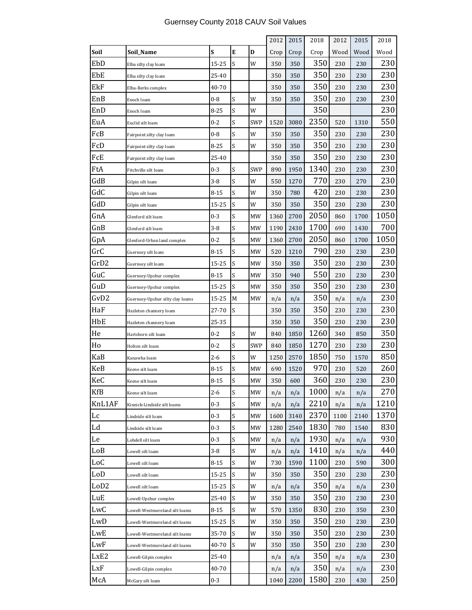|        |                                  |          |   |            | 2012 | 2015 | 2018 | 2012 | 2015 | 2018 |
|--------|----------------------------------|----------|---|------------|------|------|------|------|------|------|
| Soil   | Soil_Name                        | S        | E | D          | Crop | Crop | Crop | Wood | Wood | Wood |
| EbD    | Elba silty clay loam             | 15-25    | S | W          | 350  | 350  | 350  | 230  | 230  | 230  |
| EbE    | Elba silty clay loam             | 25-40    |   |            | 350  | 350  | 350  | 230  | 230  | 230  |
| EkF    | Elba-Berks complex               | 40-70    |   |            | 350  | 350  | 350  | 230  | 230  | 230  |
| EnB    | Enoch loam                       | 0-8      | S | W          | 350  | 350  | 350  | 230  | 230  | 230  |
| EnD    | Enoch loam                       | 8-25     | Ś | W          |      |      | 350  |      |      | 230  |
| EuA    | Euclid silt loam                 | 0-2      | S | <b>SWP</b> | 1520 | 3080 | 2350 | 520  | 1310 | 550  |
| FcB    | Fairpoint silty clay loam        | $0-8$    | S | W          | 350  | 350  | 350  | 230  | 230  | 230  |
| FcD    | Fairpoint silty clay loam        | 8-25     | S | W          | 350  | 350  | 350  | 230  | 230  | 230  |
| FcE    | Fairpoint silty clay loam        | 25-40    |   |            | 350  | 350  | 350  | 230  | 230  | 230  |
| FtA    | Fitchville silt loam             | 0-3      | S | <b>SWP</b> | 890  | 1950 | 1340 | 230  | 230  | 230  |
| GdB    | Gilpin silt loam                 | 3-8      | S | W          | 550  | 1270 | 770  | 230  | 270  | 230  |
| GdC    | Gilpin silt loam                 | $8 - 15$ | S | W          | 350  | 780  | 420  | 230  | 230  | 230  |
| GdD    | Gilpin silt loam                 | 15-25    | S | W          | 350  | 350  | 350  | 230  | 230  | 230  |
| GnA    | Glenford silt loam               | $0 - 3$  | S | MW         | 1360 | 2700 | 2050 | 860  | 1700 | 1050 |
| GnB    | Glenford silt loam               | $3-8$    | S | <b>MW</b>  | 1190 | 2430 | 1700 | 690  | 1430 | 700  |
| GpA    | Glenford-Urban land complex      | $0 - 2$  | Ś | MW         | 1360 | 2700 | 2050 | 860  | 1700 | 1050 |
| GrC    | Guernsey silt loam               | 8-15     | S | МW         | 520  | 1210 | 790  | 230  | 230  | 230  |
| GrD2   | Guernsey silt loam               | 15-25    | S | MW         | 350  | 350  | 350  | 230  | 230  | 230  |
| GuC    | Guernsey-Upshur complex          | 8-15     | S | MW         | 350  | 940  | 550  | 230  | 230  | 230  |
| GuD    | Guernsey-Upshur complex          | 15-25    | S | MW         | 350  | 350  | 350  | 230  | 230  | 230  |
| GvD2   | Guernsey-Upshur silty clay loams | 15-25    | М | MW         | n/a  | n/a  | 350  | n/a  | n/a  | 230  |
| HaF    | Hazleton channery loam           | 27-70    | S |            | 350  | 350  | 350  | 230  | 230  | 230  |
| HbE    | Hazleton channery loam           | 25-35    |   |            | 350  | 350  | 350  | 230  | 230  | 230  |
| He     | Hartshorn silt loam              | $0 - 2$  | S | W          | 840  | 1850 | 1260 | 340  | 850  | 350  |
| Ho     | Holton silt loam                 | $0 - 2$  | S | <b>SWP</b> | 840  | 1850 | 1270 | 230  | 230  | 230  |
| KaB    | Kanawha loam                     | $2 - 6$  | Ś | W          | 1250 | 2570 | 1850 | 750  | 1570 | 850  |
| KeB    | Keene silt loam                  | $8 - 15$ | S | MW         | 690  | 1520 | 970  | 230  | 520  | 260  |
| KeC    | Keene silt loam                  | 8-15     | S | МW         | 350  | 600  | 360  | 230  | 230  | 230  |
| KfB    | Keene silt loam                  | $2 - 6$  | S | МW         | n/a  | n/a  | 1000 | n/a  | n/a  | 270  |
| KnL1AF | Kinnick-Lindside silt loams      | $0 - 3$  | S | МW         | n/a  | n/a  | 2210 | n/a  | n/a  | 1210 |
| Lc     | Lindside silt loam               | $0 - 3$  | S | MW         | 1600 | 3140 | 2370 | 1100 | 2140 | 1370 |
| Ld     | Lindside silt loam               | 0-3      | S | MW         | 1280 | 2540 | 1830 | 780  | 1540 | 830  |
| Le     | Lobdell silt loam                | 0-3      | S | МW         | n/a  | n/a  | 1930 | n/a  | n/a  | 930  |
| LoB    | Lowell silt loam                 | $3 - 8$  | S | W          | n/a  | n/a  | 1410 | n/a  | n/a  | 440  |
| LoC    | Lowell silt loam                 | 8-15     | S | W          | 730  | 1590 | 1100 | 230  | 590  | 300  |
| LoD    | Lowell silt loam                 | 15-25    | S | W          | 350  | 350  | 350  | 230  | 230  | 230  |
| LoD2   | Lowell silt loam                 | 15-25    | S | W          | n/a  | n/a  | 350  | n/a  | n/a  | 230  |
| LuE    | Lowell-Upshur complex            | 25-40    | S | W          | 350  | 350  | 350  | 230  | 230  | 230  |
| LwC    | Lowell-Westmoreland silt loams   | 8-15     | S | W          | 570  | 1350 | 830  | 230  | 350  | 230  |
| LwD    | Lowell-Westmoreland silt loams   | 15-25    | S | W          | 350  | 350  | 350  | 230  | 230  | 230  |
| LwE    | Lowell-Westmoreland silt loams   | 35-70    | S | W          | 350  | 350  | 350  | 230  | 230  | 230  |
| LwF    | Lowell-Westmoreland silt loams   | 40-70    | S | W          | 350  | 350  | 350  | 230  | 230  | 230  |
| LxE2   | Lowell-Gilpin complex            | 25-40    |   |            | n/a  | n/a  | 350  | n/a  | n/a  | 230  |
| LxF    | Lowell-Gilpin complex            | 40-70    |   |            | n/a  | n/a  | 350  | n/a  | n/a  | 230  |
| McA    | McGary silt loam                 | $0 - 3$  |   |            | 1040 | 2200 | 1580 | 230  | 430  | 250  |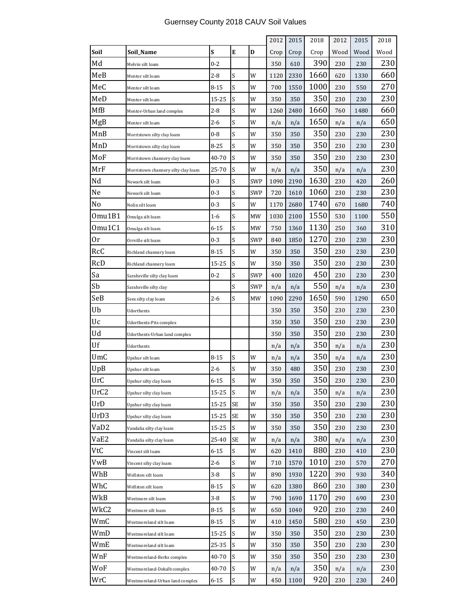'n

 $\overline{\phantom{0}}$ 

 $\overline{\phantom{a}}$ 

 $\overline{\phantom{a}}$ 

 $\overline{\phantom{a}}$ 

|                  |                                     |          |           |            | 2012 | 2015 | 2018 | 2012 | 2015 | 2018 |
|------------------|-------------------------------------|----------|-----------|------------|------|------|------|------|------|------|
| Soil             | Soil_Name                           | S        | ${\bf E}$ | D          | Crop | Crop | Crop | Wood | Wood | Wood |
| Md               | Melvin silt loam                    | $0 - 2$  |           |            | 350  | 610  | 390  | 230  | 230  | 230  |
| MeB              | Mentor silt loam                    | $2 - 8$  | S         | W          | 1120 | 2330 | 1660 | 620  | 1330 | 660  |
| MeC              | Mentor silt loam                    | $8 - 15$ | S         | W          | 700  | 1550 | 1000 | 230  | 550  | 270  |
| MeD              | Mentor silt loam                    | 15-25    | S         | W          | 350  | 350  | 350  | 230  | 230  | 230  |
| MfB              | Mentor-Urban land complex           | 2-8      | S         | W          | 1260 | 2480 | 1660 | 760  | 1480 | 660  |
| MgB              | Mentor silt loam                    | $2 - 6$  | S         | W          | n/a  | n/a  | 1650 | n/a  | n/a  | 650  |
| MnB              | Morristown silty clay loam          | $0 - 8$  | S         | W          | 350  | 350  | 350  | 230  | 230  | 230  |
| MnD              | Morristown silty clay loam          | 8-25     | S         | W          | 350  | 350  | 350  | 230  | 230  | 230  |
| MoF              | Morristown channery clay loam       | 40-70    | S         | W          | 350  | 350  | 350  | 230  | 230  | 230  |
| MrF              | Morristown channery silty clay loam | 25-70    | S         | W          | n/a  | n/a  | 350  | n/a  | n/a  | 230  |
| Nd               | Newark silt loam                    | $0 - 3$  | S         | <b>SWP</b> | 1090 | 2190 | 1630 | 230  | 420  | 260  |
| Ne               | Newark silt loam                    | 0-3      | S         | SWP        | 720  | 1610 | 1060 | 230  | 230  | 230  |
| No               | Nolin silt loam                     | 0-3      | S         | W          | 1170 | 2680 | 1740 | 670  | 1680 | 740  |
| Omu1B1           | Omulga silt loam                    | 1-6      | S         | MW         | 1030 | 2100 | 1550 | 530  | 1100 | 550  |
| Omu1C1           | Omulga silt loam                    | 6-15     | S         | МW         | 750  | 1360 | 1130 | 250  | 360  | 310  |
| 0r               | Orrville silt loam                  | $0 - 3$  | S         | <b>SWP</b> | 840  | 1850 | 1270 | 230  | 230  | 230  |
| RcC              | Richland channery loam              | $8 - 15$ | S         | W          | 350  | 350  | 350  | 230  | 230  | 230  |
| RcD              | Richland channery loam              | 15-25    | S         | W          | 350  | 350  | 350  | 230  | 230  | 230  |
| Sa               | Sarahsville silty clay loam         | 0-2      | S         | SWP        | 400  | 1020 | 450  | 230  | 230  | 230  |
| Sb               | Sarahsville silty clay              |          | S         | SWP        | n/a  | n/a  | 550  | n/a  | n/a  | 230  |
| SeB              | Sees silty clay loam                | 2-6      | S         | МW         | 1090 | 2290 | 1650 | 590  | 1290 | 650  |
| Ub               | Udorthents                          |          |           |            | 350  | 350  | 350  | 230  | 230  | 230  |
| Uc               | Udorthents-Pits complex             |          |           |            | 350  | 350  | 350  | 230  | 230  | 230  |
| Ud               | Udorthents-Urban land complex       |          |           |            | 350  | 350  | 350  | 230  | 230  | 230  |
| Uf               | Udorthents                          |          |           |            | n/a  | n/a  | 350  | n/a  | n/a  | 230  |
| UmC              | Upshur silt loam                    | 8-15     | S         | W          | n/a  | n/a  | 350  | n/a  | n/a  | 230  |
| UpB              | Upshur silt loam                    | 2-6      | S         | W          | 350  | 480  | 350  | 230  | 230  | 230  |
| UrC              | Upshur silty clay loam              | $6 - 15$ | S         | W          | 350  | 350  | 350  | 230  | 230  | 230  |
| UrC <sub>2</sub> | Upshur silty clay loam              | 15-25    | S         | W          | n/a  | n/a  | 350  | n/a  | n/a  | 230  |
| UrD              | Upshur silty clay loam              | 15-25    | SE        | W          | 350  | 350  | 350  | 230  | 230  | 230  |
| UrD3             | Upshur silty clay loam              | 15-25    | <b>SE</b> | W          | 350  | 350  | 350  | 230  | 230  | 230  |
| VaD <sub>2</sub> | Vandalia silty clay loam            | 15-25    | S         | W          | 350  | 350  | 350  | 230  | 230  | 230  |
| VaE2             | Vandalia silty clay loam            | 25-40    | SE        | W          | n/a  | n/a  | 380  | n/a  | n/a  | 230  |
| VtC              | Vincent silt loam                   | $6 - 15$ | S         | W          | 620  | 1410 | 880  | 230  | 410  | 230  |
| VwB              | Vincent silty clay loam             | $2 - 6$  | S         | W          | 710  | 1570 | 1010 | 230  | 570  | 270  |
| WhB              | Wellston silt loam                  | 3-8      | S         | W          | 890  | 1930 | 1220 | 390  | 930  | 340  |
| WhC              | Wellston silt loam                  | 8-15     | S         | W          | 620  | 1380 | 860  | 230  | 380  | 230  |
| WkB              | Westmore silt loam                  | 3-8      | S         | W          | 790  | 1690 | 1170 | 290  | 690  | 230  |
| WkC2             | Westmore silt loam                  | 8-15     | S         | W          | 650  | 1040 | 920  | 230  | 230  | 240  |
| WmC              | Westmoreland silt loam              | $8 - 15$ | S         | W          | 410  | 1450 | 580  | 230  | 450  | 230  |
| WmD              | Westmoreland silt loam              | 15-25    | S         | W          | 350  | 350  | 350  | 230  | 230  | 230  |
| WmE              | Westmoreland silt loam              | 25-35    | S         | W          | 350  | 350  | 350  | 230  | 230  | 230  |
| WnF              | Westmoreland-Berks complex          | 40-70    | S         | W          | 350  | 350  | 350  | 230  | 230  | 230  |
| WoF              | Westmoreland-Dekalb complex         | 40-70    | S         | W          | n/a  | n/a  | 350  | n/a  | n/a  | 230  |
| WrC              | Westmoreland-Urban land complex     | 6-15     | S         | W          | 450  | 1100 | 920  | 230  | 230  | 240  |